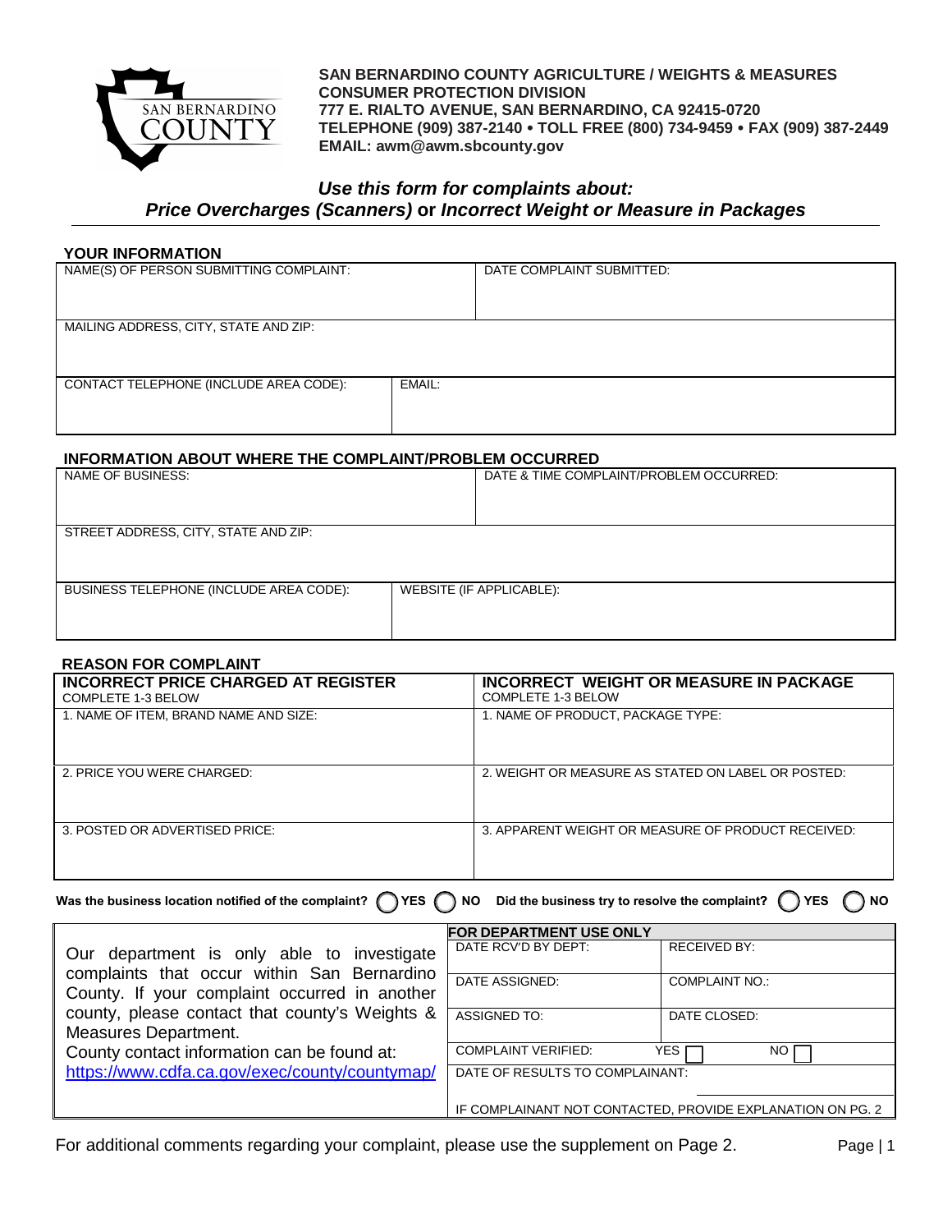

 **SAN BERNARDINO COUNTY AGRICULTURE / WEIGHTS & MEASURES CONSUMER PROTECTION DIVISION 777 E. RIALTO AVENUE, SAN BERNARDINO, CA 92415-0720 TELEPHONE (909) 387-2140 TOLL FREE (800) 734-9459 FAX (909) 387-2449 EMAIL: awm@awm.sbcounty.gov**

# *Use this form for complaints about:*

*Price Overcharges (Scanners)* **or** *Incorrect Weight or Measure in Packages*

### **YOUR INFORMATION**

| NAME(S) OF PERSON SUBMITTING COMPLAINT: |        | DATE COMPLAINT SUBMITTED: |
|-----------------------------------------|--------|---------------------------|
| MAILING ADDRESS, CITY, STATE AND ZIP:   |        |                           |
| CONTACT TELEPHONE (INCLUDE AREA CODE):  | EMAIL: |                           |

### **INFORMATION ABOUT WHERE THE COMPLAINT/PROBLEM OCCURRED**

| NAME OF BUSINESS:                       |                          | DATE & TIME COMPLAINT/PROBLEM OCCURRED: |  |  |
|-----------------------------------------|--------------------------|-----------------------------------------|--|--|
|                                         |                          |                                         |  |  |
| STREET ADDRESS, CITY, STATE AND ZIP:    |                          |                                         |  |  |
|                                         |                          |                                         |  |  |
| BUSINESS TELEPHONE (INCLUDE AREA CODE): | WEBSITE (IF APPLICABLE): |                                         |  |  |
|                                         |                          |                                         |  |  |
|                                         |                          |                                         |  |  |

#### **REASON FOR COMPLAINT**

| <b>INCORRECT PRICE CHARGED AT REGISTER</b><br>COMPLETE 1-3 BELOW | INCORRECT WEIGHT OR MEASURE IN PACKAGE<br>COMPLETE 1-3 BELOW |
|------------------------------------------------------------------|--------------------------------------------------------------|
| 1. NAME OF ITEM, BRAND NAME AND SIZE:                            | 1. NAME OF PRODUCT, PACKAGE TYPE:                            |
| 2. PRICE YOU WERE CHARGED:                                       | 2. WEIGHT OR MEASURE AS STATED ON LABEL OR POSTED:           |
| 3. POSTED OR ADVERTISED PRICE:                                   | 3. APPARENT WEIGHT OR MEASURE OF PRODUCT RECEIVED:           |

Was the business location notified of the complaint? (The S<sub>NO</sub> NO Did the business try to resolve the complaint? (The S<sub>NO</sub> NO

|                                                | <b>FOR DEPARTMENT USE ONLY</b>                             |                       |  |
|------------------------------------------------|------------------------------------------------------------|-----------------------|--|
| Our department is only able to investigate     | DATE RCV'D BY DEPT:                                        | <b>RECEIVED BY:</b>   |  |
| complaints that occur within San Bernardino    |                                                            |                       |  |
|                                                | DATE ASSIGNED:                                             | <b>COMPLAINT NO.:</b> |  |
| County. If your complaint occurred in another  |                                                            |                       |  |
| county, please contact that county's Weights & | <b>ASSIGNED TO:</b>                                        | DATE CLOSED:          |  |
| <b>Measures Department.</b>                    |                                                            |                       |  |
| County contact information can be found at:    | <b>COMPLAINT VERIFIED:</b>                                 | YES I<br>NO.          |  |
| https://www.cdfa.ca.gov/exec/county/countymap/ | DATE OF RESULTS TO COMPLAINANT:                            |                       |  |
|                                                |                                                            |                       |  |
|                                                | IF COMPLAINANT NOT CONTACTED, PROVIDE EXPLANATION ON PG. 2 |                       |  |